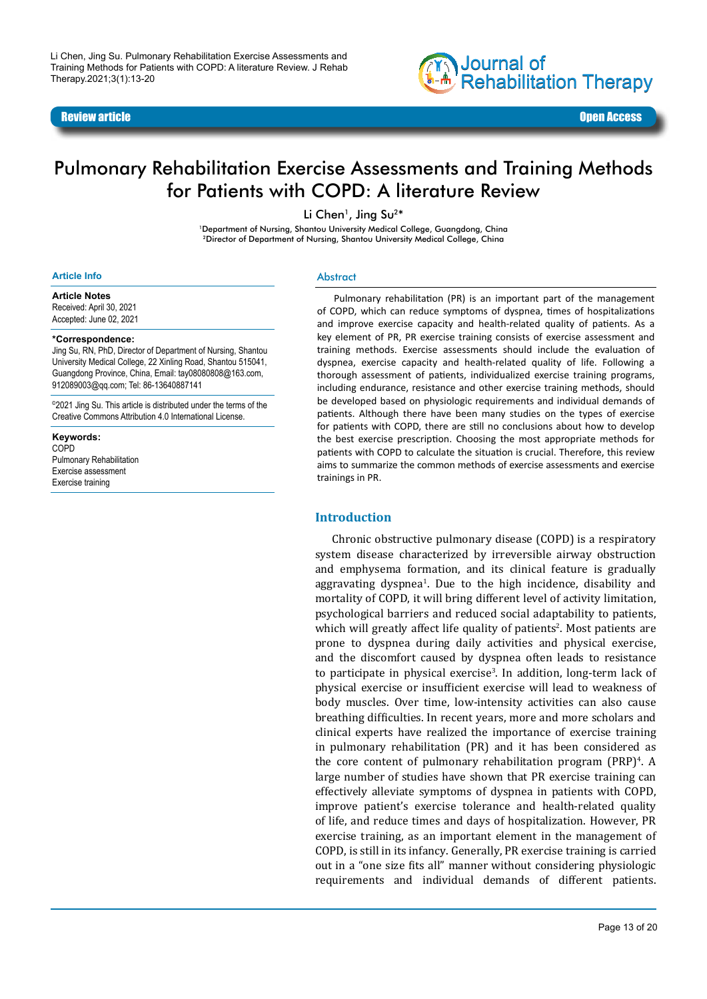#### Review article **Contracts of the Contract of Contracts of the Contracts of the Contracts of Contracts of the Open Access of the Contracts of the Open Access of the Open Access of the Open Access of the Open Access of the O**



# Pulmonary Rehabilitation Exercise Assessments and Training Methods for Patients with COPD: A literature Review

Li Chen<sup>1</sup>, Jing Su<sup>2\*</sup>

<sup>1</sup>Department of Nursing, Shantou University Medical College, Guangdong, China 2Director of Department of Nursing, Shantou University Medical College, China

#### **Article Info**

**Article Notes**

Received: April 30, 2021 Accepted: June 02, 2021

#### **\*Correspondence:**

Jing Su, RN, PhD, Director of Department of Nursing, Shantou University Medical College, 22 Xinling Road, Shantou 515041, Guangdong Province, China, Email: tay08080808@163.com, 912089003@qq.com; Tel: 86-13640887141

©2021 Jing Su. This article is distributed under the terms of the Creative Commons Attribution 4.0 International License.

**Keywords:**  COPD Pulmonary Rehabilitation Exercise assessment Exercise training

#### **Abstract**

Pulmonary rehabilitation (PR) is an important part of the management of COPD, which can reduce symptoms of dyspnea, times of hospitalizations and improve exercise capacity and health-related quality of patients. As a key element of PR, PR exercise training consists of exercise assessment and training methods. Exercise assessments should include the evaluation of dyspnea, exercise capacity and health-related quality of life. Following a thorough assessment of patients, individualized exercise training programs, including endurance, resistance and other exercise training methods, should be developed based on physiologic requirements and individual demands of patients. Although there have been many studies on the types of exercise for patients with COPD, there are still no conclusions about how to develop the best exercise prescription. Choosing the most appropriate methods for patients with COPD to calculate the situation is crucial. Therefore, this review aims to summarize the common methods of exercise assessments and exercise trainings in PR.

### **Introduction**

Chronic obstructive pulmonary disease (COPD) is a respiratory system disease characterized by irreversible airway obstruction and emphysema formation, and its clinical feature is gradually aggravating dyspnea<sup>1</sup>. Due to the high incidence, disability and mortality of COPD, it will bring different level of activity limitation, psychological barriers and reduced social adaptability to patients, which will greatly affect life quality of patients<sup>2</sup>. Most patients are prone to dyspnea during daily activities and physical exercise, and the discomfort caused by dyspnea often leads to resistance to participate in physical exercise<sup>3</sup>. In addition, long-term lack of physical exercise or insufficient exercise will lead to weakness of body muscles. Over time, low-intensity activities can also cause breathing difficulties. In recent years, more and more scholars and clinical experts have realized the importance of exercise training in pulmonary rehabilitation (PR) and it has been considered as the core content of pulmonary rehabilitation program  $(PRP)^4$ . A large number of studies have shown that PR exercise training can effectively alleviate symptoms of dyspnea in patients with COPD, improve patient's exercise tolerance and health-related quality of life, and reduce times and days of hospitalization. However, PR exercise training, as an important element in the management of COPD, is still in its infancy. Generally, PR exercise training is carried out in a "one size fits all" manner without considering physiologic requirements and individual demands of different patients.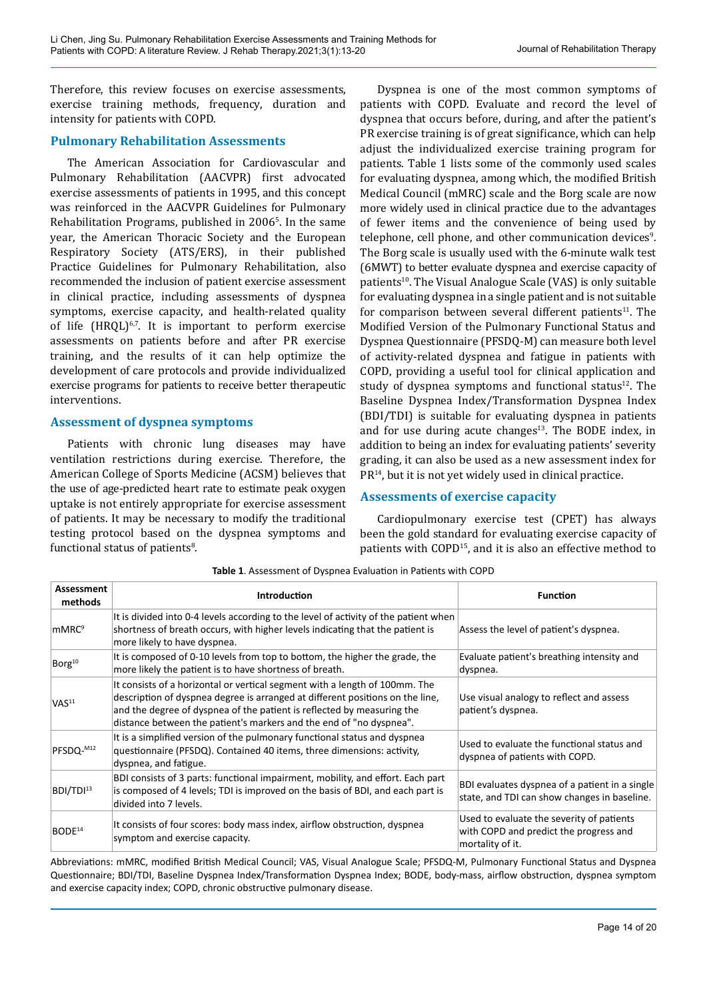Therefore, this review focuses on exercise assessments, exercise training methods, frequency, duration and intensity for patients with COPD.

# **Pulmonary Rehabilitation Assessments**

The American Association for Cardiovascular and Pulmonary Rehabilitation (AACVPR) first advocated exercise assessments of patients in 1995, and this concept was reinforced in the AACVPR Guidelines for Pulmonary Rehabilitation Programs, published in 2006<sup>5</sup>. In the same year, the American Thoracic Society and the European Respiratory Society (ATS/ERS), in their published Practice Guidelines for Pulmonary Rehabilitation, also recommended the inclusion of patient exercise assessment in clinical practice, including assessments of dyspnea symptoms, exercise capacity, and health-related quality of life  $(HRQL)^{6,7}$ . It is important to perform exercise assessments on patients before and after PR exercise training, and the results of it can help optimize the development of care protocols and provide individualized exercise programs for patients to receive better therapeutic interventions.

# **Assessment of dyspnea symptoms**

Patients with chronic lung diseases may have ventilation restrictions during exercise. Therefore, the American College of Sports Medicine (ACSM) believes that the use of age-predicted heart rate to estimate peak oxygen uptake is not entirely appropriate for exercise assessment of patients. It may be necessary to modify the traditional testing protocol based on the dyspnea symptoms and functional status of patients<sup>8</sup>.

Dyspnea is one of the most common symptoms of patients with COPD. Evaluate and record the level of dyspnea that occurs before, during, and after the patient's PR exercise training is of great significance, which can help adjust the individualized exercise training program for patients. Table 1 lists some of the commonly used scales for evaluating dyspnea, among which, the modified British Medical Council (mMRC) scale and the Borg scale are now more widely used in clinical practice due to the advantages of fewer items and the convenience of being used by telephone, cell phone, and other communication devices<sup>9</sup>. The Borg scale is usually used with the 6-minute walk test (6MWT) to better evaluate dyspnea and exercise capacity of patients<sup>10</sup>. The Visual Analogue Scale (VAS) is only suitable for evaluating dyspnea in a single patient and is not suitable for comparison between several different patients<sup>11</sup>. The Modified Version of the Pulmonary Functional Status and Dyspnea Questionnaire (PFSDQ-M) can measure both level of activity-related dyspnea and fatigue in patients with COPD, providing a useful tool for clinical application and study of dyspnea symptoms and functional status $12$ . The Baseline Dyspnea Index/Transformation Dyspnea Index (BDI/TDI) is suitable for evaluating dyspnea in patients and for use during acute changes $13$ . The BODE index, in addition to being an index for evaluating patients' severity grading, it can also be used as a new assessment index for  $PR^{14}$ , but it is not yet widely used in clinical practice.

# **Assessments of exercise capacity**

Cardiopulmonary exercise test (CPET) has always been the gold standard for evaluating exercise capacity of patients with COPD<sup>15</sup>, and it is also an effective method to

| Assessment<br>methods | <b>Introduction</b>                                                                                                                                                                                                                                                                                           | <b>Function</b>                                                                                         |
|-----------------------|---------------------------------------------------------------------------------------------------------------------------------------------------------------------------------------------------------------------------------------------------------------------------------------------------------------|---------------------------------------------------------------------------------------------------------|
| mMRC <sup>9</sup>     | It is divided into 0-4 levels according to the level of activity of the patient when<br>shortness of breath occurs, with higher levels indicating that the patient is<br>more likely to have dyspnea.                                                                                                         | Assess the level of patient's dyspnea.                                                                  |
| Borg <sup>10</sup>    | It is composed of 0-10 levels from top to bottom, the higher the grade, the<br>more likely the patient is to have shortness of breath.                                                                                                                                                                        | Evaluate patient's breathing intensity and<br>dyspnea.                                                  |
| VAS <sup>11</sup>     | It consists of a horizontal or vertical segment with a length of 100mm. The<br>description of dyspnea degree is arranged at different positions on the line,<br>and the degree of dyspnea of the patient is reflected by measuring the<br>distance between the patient's markers and the end of "no dyspnea". | Use visual analogy to reflect and assess<br>patient's dyspnea.                                          |
| PFSDQ-M12             | It is a simplified version of the pulmonary functional status and dyspnea<br>questionnaire (PFSDQ). Contained 40 items, three dimensions: activity,<br>dyspnea, and fatigue.                                                                                                                                  | Used to evaluate the functional status and<br>dyspnea of patients with COPD.                            |
| BDI/TDI <sup>13</sup> | BDI consists of 3 parts: functional impairment, mobility, and effort. Each part<br>is composed of 4 levels; TDI is improved on the basis of BDI, and each part is<br>divided into 7 levels.                                                                                                                   | BDI evaluates dyspnea of a patient in a single<br>state, and TDI can show changes in baseline.          |
| BODE <sup>14</sup>    | It consists of four scores: body mass index, airflow obstruction, dyspnea<br>symptom and exercise capacity.                                                                                                                                                                                                   | Used to evaluate the severity of patients<br>with COPD and predict the progress and<br>mortality of it. |

**Table 1**. Assessment of Dyspnea Evaluation in Patients with COPD

Abbreviations: mMRC, modified British Medical Council; VAS, Visual Analogue Scale; PFSDQ-M, Pulmonary Functional Status and Dyspnea Questionnaire; BDI/TDI, Baseline Dyspnea Index/Transformation Dyspnea Index; BODE, body-mass, airflow obstruction, dyspnea symptom and exercise capacity index; COPD, chronic obstructive pulmonary disease.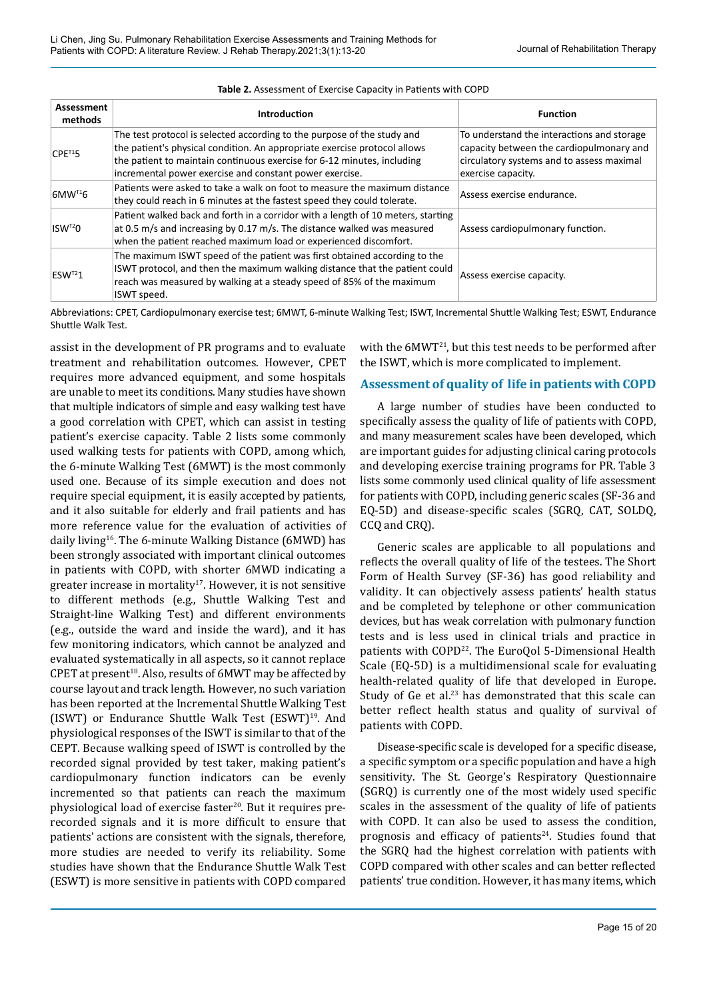| Assessment<br>methods  | <b>Introduction</b>                                                                                                                                                                                                                                                                        | <b>Function</b>                                                                                                                                           |
|------------------------|--------------------------------------------------------------------------------------------------------------------------------------------------------------------------------------------------------------------------------------------------------------------------------------------|-----------------------------------------------------------------------------------------------------------------------------------------------------------|
| $CPE^{T1}5$            | The test protocol is selected according to the purpose of the study and<br>the patient's physical condition. An appropriate exercise protocol allows<br>the patient to maintain continuous exercise for 6-12 minutes, including<br>incremental power exercise and constant power exercise. | To understand the interactions and storage<br>capacity between the cardiopulmonary and<br>circulatory systems and to assess maximal<br>exercise capacity. |
| $6$ MW <sup>T1</sup> 6 | Patients were asked to take a walk on foot to measure the maximum distance<br>they could reach in 6 minutes at the fastest speed they could tolerate.                                                                                                                                      | Assess exercise endurance.                                                                                                                                |
| $ISW^{T2}O$            | Patient walked back and forth in a corridor with a length of 10 meters, starting<br>at 0.5 m/s and increasing by 0.17 m/s. The distance walked was measured<br>when the patient reached maximum load or experienced discomfort.                                                            | Assess cardiopulmonary function.                                                                                                                          |
| $ESW^{T2}1$            | The maximum ISWT speed of the patient was first obtained according to the<br>ISWT protocol, and then the maximum walking distance that the patient could<br>reach was measured by walking at a steady speed of 85% of the maximum<br>ISWT speed.                                           | Assess exercise capacity.                                                                                                                                 |

#### **Table 2.** Assessment of Exercise Capacity in Patients with COPD

Abbreviations: CPET, Cardiopulmonary exercise test; 6MWT, 6-minute Walking Test; ISWT, Incremental Shuttle Walking Test; ESWT, Endurance Shuttle Walk Test.

assist in the development of PR programs and to evaluate treatment and rehabilitation outcomes. However, CPET requires more advanced equipment, and some hospitals are unable to meet its conditions. Many studies have shown that multiple indicators of simple and easy walking test have a good correlation with CPET, which can assist in testing patient's exercise capacity. Table 2 lists some commonly used walking tests for patients with COPD, among which, the 6-minute Walking Test (6MWT) is the most commonly used one. Because of its simple execution and does not require special equipment, it is easily accepted by patients, and it also suitable for elderly and frail patients and has more reference value for the evaluation of activities of daily living<sup>16</sup>. The 6-minute Walking Distance (6MWD) has been strongly associated with important clinical outcomes in patients with COPD, with shorter 6MWD indicating a greater increase in mortality<sup>17</sup>. However, it is not sensitive to different methods (e.g., Shuttle Walking Test and Straight-line Walking Test) and different environments (e.g., outside the ward and inside the ward), and it has few monitoring indicators, which cannot be analyzed and evaluated systematically in all aspects, so it cannot replace CPET at present<sup>18</sup>. Also, results of 6MWT may be affected by course layout and track length. However, no such variation has been reported at the Incremental Shuttle Walking Test (ISWT) or Endurance Shuttle Walk Test  $(ESWT)^{19}$ . And physiological responses of the ISWT is similar to that of the CEPT. Because walking speed of ISWT is controlled by the recorded signal provided by test taker, making patient's cardiopulmonary function indicators can be evenly incremented so that patients can reach the maximum physiological load of exercise faster $20$ . But it requires prerecorded signals and it is more difficult to ensure that patients' actions are consistent with the signals, therefore, more studies are needed to verify its reliability. Some studies have shown that the Endurance Shuttle Walk Test (ESWT) is more sensitive in patients with COPD compared

with the 6MWT<sup>21</sup>, but this test needs to be performed after the ISWT, which is more complicated to implement.

### **Assessment of quality of life in patients with COPD**

A large number of studies have been conducted to specifically assess the quality of life of patients with COPD, and many measurement scales have been developed, which are important guides for adjusting clinical caring protocols and developing exercise training programs for PR. Table 3 lists some commonly used clinical quality of life assessment for patients with COPD, including generic scales (SF-36 and EQ-5D) and disease-specific scales (SGRQ, CAT, SOLDQ, CCQ and CRQ).

Generic scales are applicable to all populations and reflects the overall quality of life of the testees. The Short Form of Health Survey (SF-36) has good reliability and validity. It can objectively assess patients' health status and be completed by telephone or other communication devices, but has weak correlation with pulmonary function tests and is less used in clinical trials and practice in patients with COPD<sup>22</sup>. The EuroQol 5-Dimensional Health Scale (EQ-5D) is a multidimensional scale for evaluating health-related quality of life that developed in Europe. Study of Ge et al.<sup>23</sup> has demonstrated that this scale can better reflect health status and quality of survival of patients with COPD.

Disease-specific scale is developed for a specific disease, a specific symptom or a specific population and have a high sensitivity. The St. George's Respiratory Questionnaire (SGRQ) is currently one of the most widely used specific scales in the assessment of the quality of life of patients with COPD. It can also be used to assess the condition, prognosis and efficacy of patients<sup>24</sup>. Studies found that the SGRQ had the highest correlation with patients with COPD compared with other scales and can better reflected patients' true condition. However, it has many items, which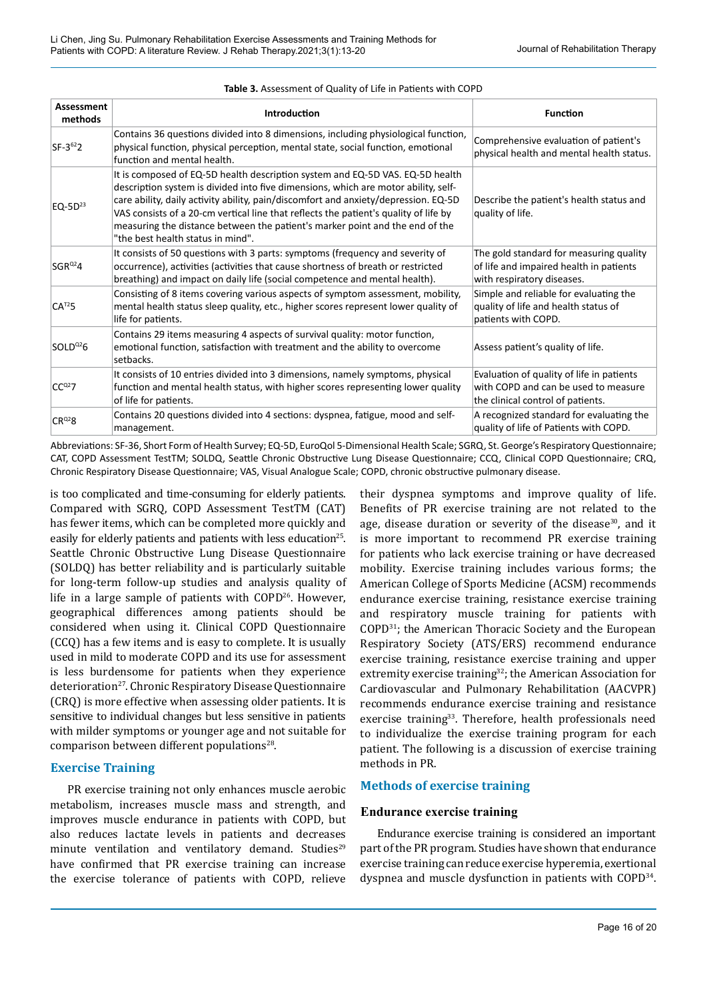| <b>Assessment</b><br>methods | <b>Introduction</b>                                                                                                                                                                                                                                                                                                                                                                                                                                                     | <b>Function</b>                                                                                                        |
|------------------------------|-------------------------------------------------------------------------------------------------------------------------------------------------------------------------------------------------------------------------------------------------------------------------------------------------------------------------------------------------------------------------------------------------------------------------------------------------------------------------|------------------------------------------------------------------------------------------------------------------------|
| $SF-3^{62}2$                 | Contains 36 questions divided into 8 dimensions, including physiological function,<br>physical function, physical perception, mental state, social function, emotional<br>function and mental health.                                                                                                                                                                                                                                                                   | Comprehensive evaluation of patient's<br>physical health and mental health status.                                     |
| EQ-5 $D^{23}$                | It is composed of EQ-5D health description system and EQ-5D VAS. EQ-5D health<br>description system is divided into five dimensions, which are motor ability, self-<br>care ability, daily activity ability, pain/discomfort and anxiety/depression. EQ-5D<br>VAS consists of a 20-cm vertical line that reflects the patient's quality of life by<br>measuring the distance between the patient's marker point and the end of the<br>"the best health status in mind". | Describe the patient's health status and<br>quality of life.                                                           |
| $SGR^{Q2}4$                  | It consists of 50 questions with 3 parts: symptoms (frequency and severity of<br>occurrence), activities (activities that cause shortness of breath or restricted<br>breathing) and impact on daily life (social competence and mental health).                                                                                                                                                                                                                         | The gold standard for measuring quality<br>of life and impaired health in patients<br>with respiratory diseases.       |
| $CA^{T2}5$                   | Consisting of 8 items covering various aspects of symptom assessment, mobility,<br>mental health status sleep quality, etc., higher scores represent lower quality of<br>life for patients.                                                                                                                                                                                                                                                                             | Simple and reliable for evaluating the<br>quality of life and health status of<br>patients with COPD.                  |
| $SOLD^{02}6$                 | Contains 29 items measuring 4 aspects of survival quality: motor function,<br>emotional function, satisfaction with treatment and the ability to overcome<br>setbacks.                                                                                                                                                                                                                                                                                                  | Assess patient's quality of life.                                                                                      |
| $CC^{02}$ 7                  | It consists of 10 entries divided into 3 dimensions, namely symptoms, physical<br>function and mental health status, with higher scores representing lower quality<br>of life for patients.                                                                                                                                                                                                                                                                             | Evaluation of quality of life in patients<br>with COPD and can be used to measure<br>the clinical control of patients. |
| $CR^{02}8$                   | Contains 20 questions divided into 4 sections: dyspnea, fatigue, mood and self-<br>management.                                                                                                                                                                                                                                                                                                                                                                          | A recognized standard for evaluating the<br>quality of life of Patients with COPD.                                     |

#### **Table 3.** Assessment of Quality of Life in Patients with COPD

Abbreviations: SF-36, Short Form of Health Survey; EQ-5D, EuroQol 5-Dimensional Health Scale; SGRQ, St. George's Respiratory Questionnaire; CAT, COPD Assessment TestTM; SOLDQ, Seattle Chronic Obstructive Lung Disease Questionnaire; CCQ, Clinical COPD Questionnaire; CRQ, Chronic Respiratory Disease Questionnaire; VAS, Visual Analogue Scale; COPD, chronic obstructive pulmonary disease.

is too complicated and time-consuming for elderly patients. Compared with SGRQ, COPD Assessment TestTM (CAT) has fewer items, which can be completed more quickly and easily for elderly patients and patients with less education<sup>25</sup>. Seattle Chronic Obstructive Lung Disease Questionnaire (SOLDQ) has better reliability and is particularly suitable for long-term follow-up studies and analysis quality of life in a large sample of patients with  $COPD<sup>26</sup>$ . However, geographical differences among patients should be considered when using it. Clinical COPD Questionnaire (CCQ) has a few items and is easy to complete. It is usually used in mild to moderate COPD and its use for assessment is less burdensome for patients when they experience deterioration<sup>27</sup>. Chronic Respiratory Disease Questionnaire (CRQ) is more effective when assessing older patients. It is sensitive to individual changes but less sensitive in patients with milder symptoms or younger age and not suitable for comparison between different populations<sup>28</sup>.

#### **Exercise Training**

PR exercise training not only enhances muscle aerobic metabolism, increases muscle mass and strength, and improves muscle endurance in patients with COPD, but also reduces lactate levels in patients and decreases minute ventilation and ventilatory demand. Studies<sup>29</sup> have confirmed that PR exercise training can increase the exercise tolerance of patients with COPD, relieve

their dyspnea symptoms and improve quality of life. Benefits of PR exercise training are not related to the age, disease duration or severity of the disease<sup>30</sup>, and it is more important to recommend PR exercise training for patients who lack exercise training or have decreased mobility. Exercise training includes various forms; the American College of Sports Medicine (ACSM) recommends endurance exercise training, resistance exercise training and respiratory muscle training for patients with COPD31; the American Thoracic Society and the European Respiratory Society (ATS/ERS) recommend endurance exercise training, resistance exercise training and upper extremity exercise training<sup>32</sup>; the American Association for Cardiovascular and Pulmonary Rehabilitation (AACVPR) recommends endurance exercise training and resistance exercise training<sup>33</sup>. Therefore, health professionals need to individualize the exercise training program for each patient. The following is a discussion of exercise training methods in PR.

### **Methods of exercise training**

#### **Endurance exercise training**

Endurance exercise training is considered an important part of the PR program. Studies have shown that endurance exercise training can reduce exercise hyperemia, exertional dyspnea and muscle dysfunction in patients with COPD34.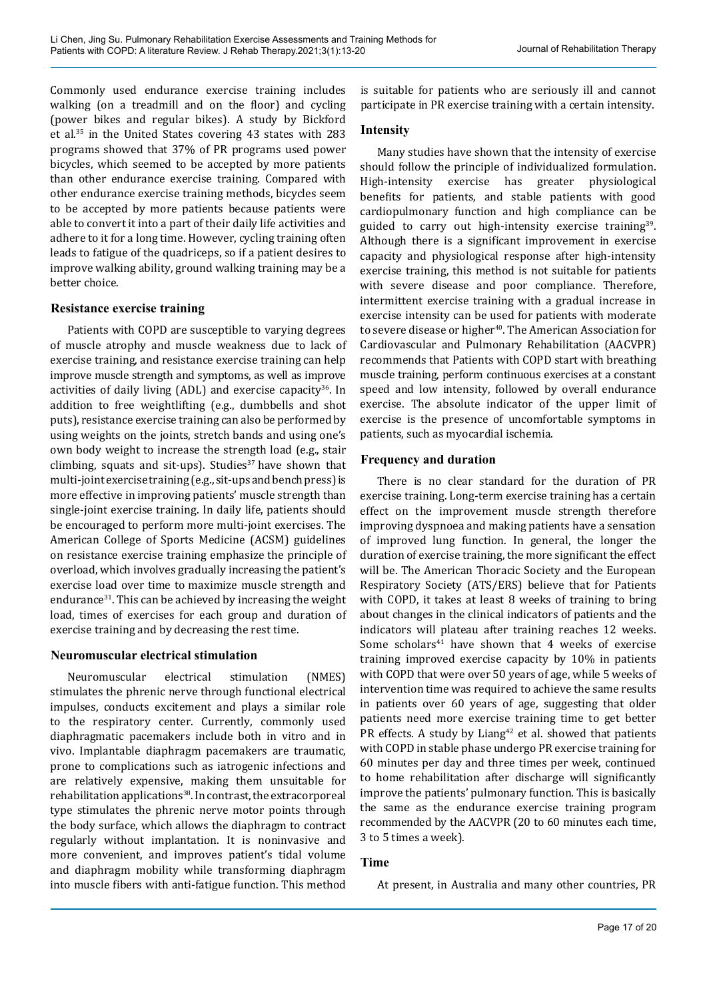Commonly used endurance exercise training includes walking (on a treadmill and on the floor) and cycling (power bikes and regular bikes). A study by Bickford et al.35 in the United States covering 43 states with 283 programs showed that 37% of PR programs used power bicycles, which seemed to be accepted by more patients than other endurance exercise training. Compared with other endurance exercise training methods, bicycles seem to be accepted by more patients because patients were able to convert it into a part of their daily life activities and adhere to it for a long time. However, cycling training often leads to fatigue of the quadriceps, so if a patient desires to improve walking ability, ground walking training may be a better choice.

# **Resistance exercise training**

Patients with COPD are susceptible to varying degrees of muscle atrophy and muscle weakness due to lack of exercise training, and resistance exercise training can help improve muscle strength and symptoms, as well as improve activities of daily living  $(ADL)$  and exercise capacity<sup>36</sup>. In addition to free weightlifting (e.g., dumbbells and shot puts), resistance exercise training can also be performed by using weights on the joints, stretch bands and using one's own body weight to increase the strength load (e.g., stair climbing, squats and sit-ups). Studies $37$  have shown that multi-joint exercise training (e.g., sit-ups and bench press) is more effective in improving patients' muscle strength than single-joint exercise training. In daily life, patients should be encouraged to perform more multi-joint exercises. The American College of Sports Medicine (ACSM) guidelines on resistance exercise training emphasize the principle of overload, which involves gradually increasing the patient's exercise load over time to maximize muscle strength and endurance<sup>31</sup>. This can be achieved by increasing the weight load, times of exercises for each group and duration of exercise training and by decreasing the rest time.

# **Neuromuscular electrical stimulation**

Neuromuscular electrical stimulation (NMES) stimulates the phrenic nerve through functional electrical impulses, conducts excitement and plays a similar role to the respiratory center. Currently, commonly used diaphragmatic pacemakers include both in vitro and in vivo. Implantable diaphragm pacemakers are traumatic, prone to complications such as iatrogenic infections and are relatively expensive, making them unsuitable for rehabilitation applications<sup>38</sup>. In contrast, the extracorporeal type stimulates the phrenic nerve motor points through the body surface, which allows the diaphragm to contract regularly without implantation. It is noninvasive and more convenient, and improves patient's tidal volume and diaphragm mobility while transforming diaphragm into muscle fibers with anti-fatigue function. This method

is suitable for patients who are seriously ill and cannot participate in PR exercise training with a certain intensity.

# **Intensity**

Many studies have shown that the intensity of exercise should follow the principle of individualized formulation. High-intensity exercise has greater physiological benefits for patients, and stable patients with good cardiopulmonary function and high compliance can be guided to carry out high-intensity exercise training<sup>39</sup>. Although there is a significant improvement in exercise capacity and physiological response after high-intensity exercise training, this method is not suitable for patients with severe disease and poor compliance. Therefore, intermittent exercise training with a gradual increase in exercise intensity can be used for patients with moderate to severe disease or higher<sup>40</sup>. The American Association for Cardiovascular and Pulmonary Rehabilitation (AACVPR) recommends that Patients with COPD start with breathing muscle training, perform continuous exercises at a constant speed and low intensity, followed by overall endurance exercise. The absolute indicator of the upper limit of exercise is the presence of uncomfortable symptoms in patients, such as myocardial ischemia.

# **Frequency and duration**

There is no clear standard for the duration of PR exercise training. Long-term exercise training has a certain effect on the improvement muscle strength therefore improving dyspnoea and making patients have a sensation of improved lung function. In general, the longer the duration of exercise training, the more significant the effect will be. The American Thoracic Society and the European Respiratory Society (ATS/ERS) believe that for Patients with COPD, it takes at least 8 weeks of training to bring about changes in the clinical indicators of patients and the indicators will plateau after training reaches 12 weeks. Some scholars<sup>41</sup> have shown that 4 weeks of exercise training improved exercise capacity by 10% in patients with COPD that were over 50 years of age, while 5 weeks of intervention time was required to achieve the same results in patients over 60 years of age, suggesting that older patients need more exercise training time to get better PR effects. A study by Liang<sup>42</sup> et al. showed that patients with COPD in stable phase undergo PR exercise training for 60 minutes per day and three times per week, continued to home rehabilitation after discharge will significantly improve the patients' pulmonary function. This is basically the same as the endurance exercise training program recommended by the AACVPR (20 to 60 minutes each time, 3 to 5 times a week).

# **Time**

At present, in Australia and many other countries, PR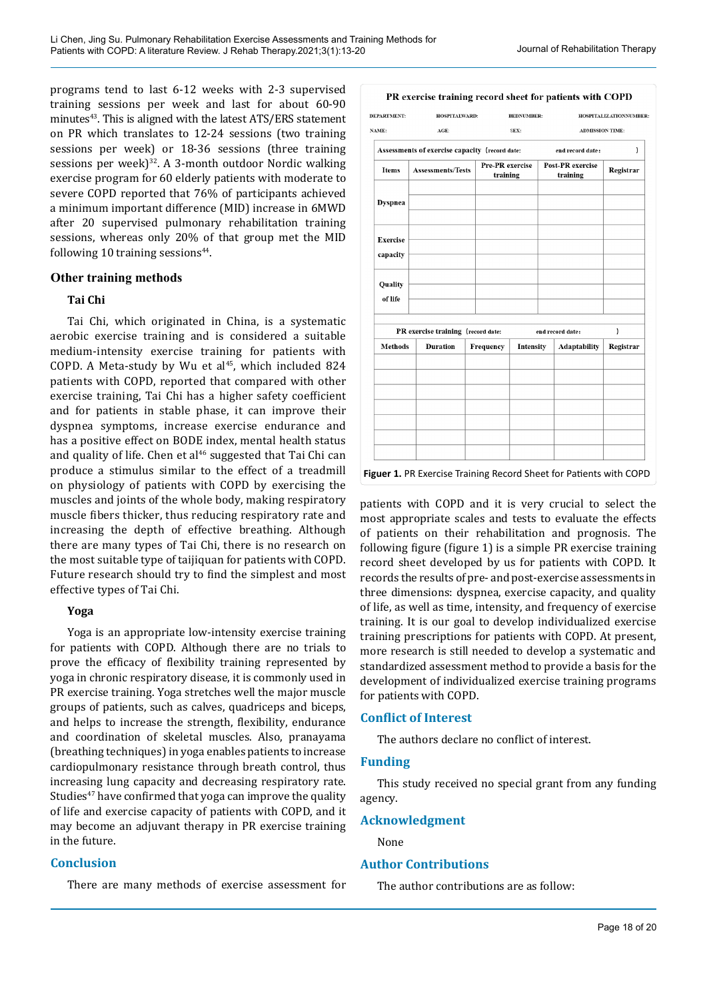programs tend to last 6-12 weeks with 2-3 supervised training sessions per week and last for about 60-90 minutes $43$ . This is aligned with the latest ATS/ERS statement on PR which translates to 12-24 sessions (two training sessions per week) or 18-36 sessions (three training sessions per week) $32$ . A 3-month outdoor Nordic walking exercise program for 60 elderly patients with moderate to severe COPD reported that 76% of participants achieved a minimum important difference (MID) increase in 6MWD after 20 supervised pulmonary rehabilitation training sessions, whereas only 20% of that group met the MID following 10 training sessions $44$ .

### **Other training methods**

### **Tai Chi**

Tai Chi, which originated in China, is a systematic aerobic exercise training and is considered a suitable medium-intensity exercise training for patients with COPD. A Meta-study by Wu et al $45$ , which included 824 patients with COPD, reported that compared with other exercise training, Tai Chi has a higher safety coefficient and for patients in stable phase, it can improve their dyspnea symptoms, increase exercise endurance and has a positive effect on BODE index, mental health status and quality of life. Chen et al $46$  suggested that Tai Chi can produce a stimulus similar to the effect of a treadmill on physiology of patients with COPD by exercising the muscles and joints of the whole body, making respiratory muscle fibers thicker, thus reducing respiratory rate and increasing the depth of effective breathing. Although there are many types of Tai Chi, there is no research on the most suitable type of taijiquan for patients with COPD. Future research should try to find the simplest and most effective types of Tai Chi.

#### **Yoga**

Yoga is an appropriate low-intensity exercise training for patients with COPD. Although there are no trials to prove the efficacy of flexibility training represented by yoga in chronic respiratory disease, it is commonly used in PR exercise training. Yoga stretches well the major muscle groups of patients, such as calves, quadriceps and biceps, and helps to increase the strength, flexibility, endurance and coordination of skeletal muscles. Also, pranayama (breathing techniques) in yoga enables patients to increase cardiopulmonary resistance through breath control, thus increasing lung capacity and decreasing respiratory rate. Studies<sup>47</sup> have confirmed that yoga can improve the quality of life and exercise capacity of patients with COPD, and it may become an adjuvant therapy in PR exercise training in the future.

### **Conclusion**

There are many methods of exercise assessment for

| <b>DEPARTMENT:</b>          | HOSPITALWARD:                                  |           | <b>BEDNUMBER:</b>           |  |                              | HOSPITALIZATIONNUMBER: |
|-----------------------------|------------------------------------------------|-----------|-----------------------------|--|------------------------------|------------------------|
| NAME:                       | $AGE$ :                                        |           | SEX:                        |  | <b>ADMISSION TIME:</b>       |                        |
|                             | Assessments of exercise capacity (record date: |           |                             |  | end record date:             | 1                      |
| <b>Items</b>                | <b>Assessments/Tests</b>                       |           | Pre-PR exercise<br>training |  | Post-PR exercise<br>training | Registrar              |
| <b>Dyspnea</b>              |                                                |           |                             |  |                              |                        |
| <b>Exercise</b><br>capacity |                                                |           |                             |  |                              |                        |
| Quality<br>of life          |                                                |           |                             |  |                              |                        |
|                             | PR exercise training (record date:             |           |                             |  | end record date:             | )                      |
| <b>Methods</b>              | <b>Duration</b>                                | Frequency | Intensity                   |  | <b>Adaptability</b>          | Registrar              |
|                             |                                                |           |                             |  |                              |                        |
|                             |                                                |           |                             |  |                              |                        |

patients with COPD and it is very crucial to select the most appropriate scales and tests to evaluate the effects of patients on their rehabilitation and prognosis. The following figure (figure 1) is a simple PR exercise training record sheet developed by us for patients with COPD. It records the results of pre- and post-exercise assessments in three dimensions: dyspnea, exercise capacity, and quality of life, as well as time, intensity, and frequency of exercise training. It is our goal to develop individualized exercise training prescriptions for patients with COPD. At present, more research is still needed to develop a systematic and standardized assessment method to provide a basis for the development of individualized exercise training programs for patients with COPD.

### **Conflict of Interest**

The authors declare no conflict of interest.

#### **Funding**

This study received no special grant from any funding agency.

### **Acknowledgment**

None

### **Author Contributions**

The author contributions are as follow: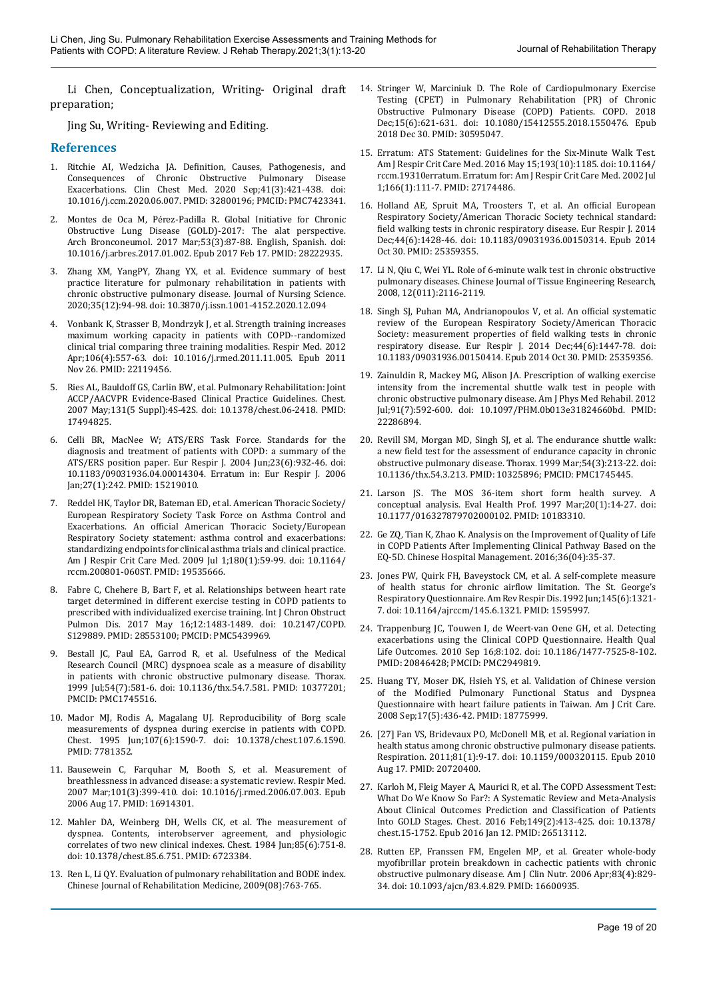Li Chen, Conceptualization, Writing- Original draft preparation;

Jing Su, Writing- Reviewing and Editing.

#### **References**

- 1. Ritchie AI, Wedzicha JA. Definition, Causes, Pathogenesis, and Consequences of Chronic Obstructive Pulmonary Disease Exacerbations. Clin Chest Med. 2020 Sep;41(3):421-438. doi: 10.1016/j.ccm.2020.06.007. PMID: 32800196; PMCID: PMC7423341.
- 2. Montes de Oca M, Pérez-Padilla R. Global Initiative for Chronic Obstructive Lung Disease (GOLD)-2017: The alat perspective. Arch Bronconeumol. 2017 Mar;53(3):87-88. English, Spanish. doi: 10.1016/j.arbres.2017.01.002. Epub 2017 Feb 17. PMID: 28222935.
- 3. Zhang XM, YangPY, Zhang YX, et al. Evidence summary of best practice literature for pulmonary rehabilitation in patients with chronic obstructive pulmonary disease. Journal of Nursing Science. 2020;35(12):94-98. doi: 10.3870/j.issn.1001-4152.2020.12.094
- 4. Vonbank K, Strasser B, Mondrzyk J, et al. Strength training increases maximum working capacity in patients with COPD--randomized clinical trial comparing three training modalities. Respir Med. 2012 Apr;106(4):557-63. doi: 10.1016/j.rmed.2011.11.005. Epub 2011 Nov 26. PMID: 22119456.
- 5. Ries AL, Bauldoff GS, Carlin BW, et al. Pulmonary Rehabilitation: Joint ACCP/AACVPR Evidence-Based Clinical Practice Guidelines. Chest. 2007 May;131(5 Suppl):4S-42S. doi: 10.1378/chest.06-2418. PMID: 17494825.
- 6. Celli BR, MacNee W; ATS/ERS Task Force. Standards for the diagnosis and treatment of patients with COPD: a summary of the ATS/ERS position paper. Eur Respir J. 2004 Jun;23(6):932-46. doi: 10.1183/09031936.04.00014304. Erratum in: Eur Respir J. 2006 Jan;27(1):242. PMID: 15219010.
- 7. Reddel HK, Taylor DR, Bateman ED, et al. American Thoracic Society/ European Respiratory Society Task Force on Asthma Control and Exacerbations. An official American Thoracic Society/European Respiratory Society statement: asthma control and exacerbations: standardizing endpoints for clinical asthma trials and clinical practice. Am J Respir Crit Care Med. 2009 Jul 1;180(1):59-99. doi: 10.1164/ rccm.200801-060ST. PMID: 19535666.
- 8. Fabre C, Chehere B, Bart F, et al. Relationships between heart rate target determined in different exercise testing in COPD patients to prescribed with individualized exercise training. Int J Chron Obstruct Pulmon Dis. 2017 May 16;12:1483-1489. doi: 10.2147/COPD. S129889. PMID: 28553100; PMCID: PMC5439969.
- 9. Bestall JC, Paul EA, Garrod R, et al. Usefulness of the Medical Research Council (MRC) dyspnoea scale as a measure of disability in patients with chronic obstructive pulmonary disease. Thorax. 1999 Jul;54(7):581-6. doi: 10.1136/thx.54.7.581. PMID: 10377201; PMCID: PMC1745516.
- 10. Mador MJ, Rodis A, Magalang UJ. Reproducibility of Borg scale measurements of dyspnea during exercise in patients with COPD. Chest. 1995 Jun;107(6):1590-7. doi: 10.1378/chest.107.6.1590. PMID: 7781352.
- 11. Bausewein C, Farquhar M, Booth S, et al. Measurement of breathlessness in advanced disease: a systematic review. Respir Med. 2007 Mar;101(3):399-410. doi: 10.1016/j.rmed.2006.07.003. Epub 2006 Aug 17. PMID: 16914301.
- 12. Mahler DA, Weinberg DH, Wells CK, et al. The measurement of dyspnea. Contents, interobserver agreement, and physiologic correlates of two new clinical indexes. Chest. 1984 Jun;85(6):751-8. doi: 10.1378/chest.85.6.751. PMID: 6723384.
- 13. Ren L, Li QY. Evaluation of pulmonary rehabilitation and BODE index. Chinese Journal of Rehabilitation Medicine, 2009(08):763-765.
- 14. Stringer W, Marciniuk D. The Role of Cardiopulmonary Exercise Testing (CPET) in Pulmonary Rehabilitation (PR) of Chronic Obstructive Pulmonary Disease (COPD) Patients. COPD. 2018 Dec;15(6):621-631. doi: 10.1080/15412555.2018.1550476. Epub 2018 Dec 30. PMID: 30595047.
- 15. Erratum: ATS Statement: Guidelines for the Six-Minute Walk Test. Am J Respir Crit Care Med. 2016 May 15;193(10):1185. doi: 10.1164/ rccm.19310erratum. Erratum for: Am J Respir Crit Care Med. 2002 Jul 1;166(1):111-7. PMID: 27174486.
- 16. Holland AE, Spruit MA, Troosters T, et al. An official European Respiratory Society/American Thoracic Society technical standard: field walking tests in chronic respiratory disease. Eur Respir J. 2014 Dec;44(6):1428-46. doi: 10.1183/09031936.00150314. Epub 2014 Oct 30. PMID: 25359355.
- 17. Li N, Qiu C, Wei YL. Role of 6-minute walk test in chronic obstructive pulmonary diseases. Chinese Journal of Tissue Engineering Research, 2008, 12(011):2116-2119.
- 18. Singh SJ, Puhan MA, Andrianopoulos V, et al. An official systematic review of the European Respiratory Society/American Thoracic Society: measurement properties of field walking tests in chronic respiratory disease. Eur Respir J. 2014 Dec;44(6):1447-78. doi: 10.1183/09031936.00150414. Epub 2014 Oct 30. PMID: 25359356.
- 19. Zainuldin R, Mackey MG, Alison JA. Prescription of walking exercise intensity from the incremental shuttle walk test in people with chronic obstructive pulmonary disease. Am J Phys Med Rehabil. 2012 Jul;91(7):592-600. doi: 10.1097/PHM.0b013e31824660bd. PMID: 22286894.
- 20. Revill SM, Morgan MD, Singh SJ, et al. The endurance shuttle walk: a new field test for the assessment of endurance capacity in chronic obstructive pulmonary disease. Thorax. 1999 Mar;54(3):213-22. doi: 10.1136/thx.54.3.213. PMID: 10325896; PMCID: PMC1745445.
- 21. Larson JS. The MOS 36-item short form health survey. A conceptual analysis. Eval Health Prof. 1997 Mar;20(1):14-27. doi: 10.1177/016327879702000102. PMID: 10183310.
- 22. Ge ZQ, Tian K, Zhao K. Analysis on the Improvement of Quality of Life in COPD Patients After Implementing Clinical Pathway Based on the EQ-5D. Chinese Hospital Management. 2016;36(04):35-37.
- 23. Jones PW, Quirk FH, Baveystock CM, et al. A self-complete measure of health status for chronic airflow limitation. The St. George's Respiratory Questionnaire. Am Rev Respir Dis. 1992 Jun;145(6):1321- 7. doi: 10.1164/ajrccm/145.6.1321. PMID: 1595997.
- 24. Trappenburg JC, Touwen I, de Weert-van Oene GH, et al. Detecting exacerbations using the Clinical COPD Questionnaire. Health Qual Life Outcomes. 2010 Sep 16;8:102. doi: 10.1186/1477-7525-8-102. PMID: 20846428; PMCID: PMC2949819.
- 25. Huang TY, Moser DK, Hsieh YS, et al. Validation of Chinese version of the Modified Pulmonary Functional Status and Dyspnea Questionnaire with heart failure patients in Taiwan. Am J Crit Care. 2008 Sep;17(5):436-42. PMID: 18775999.
- 26. [27] Fan VS, Bridevaux PO, McDonell MB, et al. Regional variation in health status among chronic obstructive pulmonary disease patients. Respiration. 2011;81(1):9-17. doi: 10.1159/000320115. Epub 2010 Aug 17. PMID: 20720400.
- 27. Karloh M, Fleig Mayer A, Maurici R, et al. The COPD Assessment Test: What Do We Know So Far?: A Systematic Review and Meta-Analysis About Clinical Outcomes Prediction and Classification of Patients Into GOLD Stages. Chest. 2016 Feb;149(2):413-425. doi: 10.1378/ chest.15-1752. Epub 2016 Jan 12. PMID: 26513112.
- 28. Rutten EP, Franssen FM, Engelen MP, et al. Greater whole-body myofibrillar protein breakdown in cachectic patients with chronic obstructive pulmonary disease. Am J Clin Nutr. 2006 Apr;83(4):829- 34. doi: 10.1093/ajcn/83.4.829. PMID: 16600935.